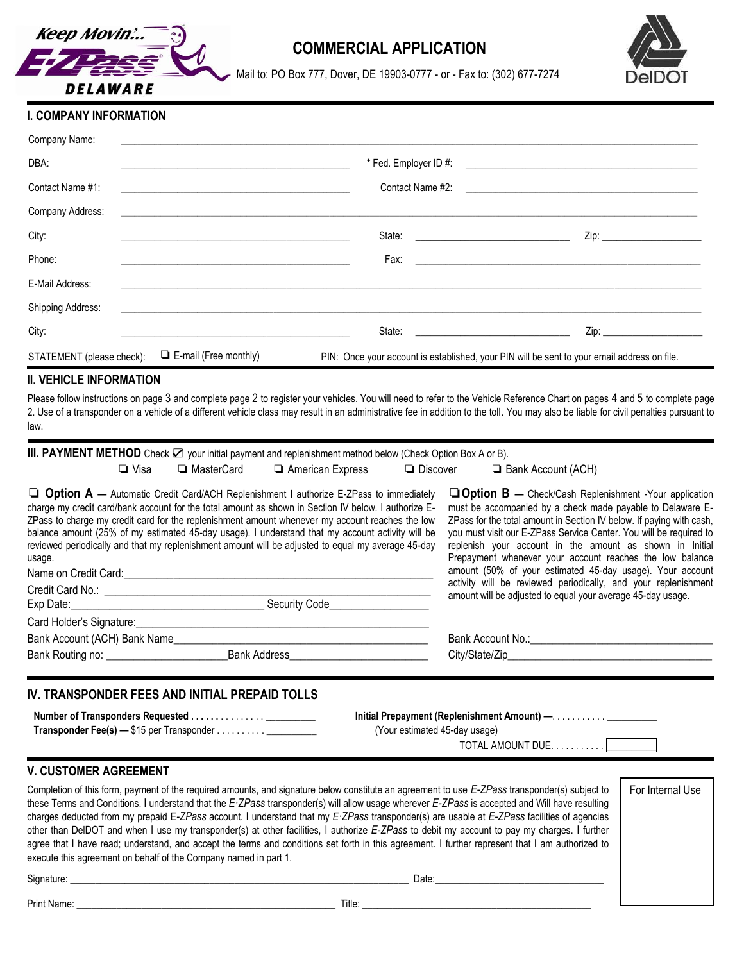

# **COMMERCIAL APPLICATION**



Mail to: PO Box 777, Dover, DE 19903-0777 - or - Fax to: (302) 677-7274

# **I. COMPANY INFORMATION**

| Company Name:             |                                                                                                                      |                                                                                                                                                                                                                                |                                                                                             |
|---------------------------|----------------------------------------------------------------------------------------------------------------------|--------------------------------------------------------------------------------------------------------------------------------------------------------------------------------------------------------------------------------|---------------------------------------------------------------------------------------------|
| DBA:                      |                                                                                                                      |                                                                                                                                                                                                                                |                                                                                             |
| Contact Name #1:          | <u> 1980 - Antonio Alemania, prima postala de la provincia de la provincia de la provincia de la provincia de la</u> |                                                                                                                                                                                                                                | Contact Name #2:                                                                            |
| Company Address:          | <u> 1989 - Andrea Andrew Maria (h. 1989).</u>                                                                        |                                                                                                                                                                                                                                |                                                                                             |
| City:                     | <u> 1989 - Jan Barnett, fransk politiker (d. 1989)</u>                                                               |                                                                                                                                                                                                                                |                                                                                             |
| Phone:                    |                                                                                                                      |                                                                                                                                                                                                                                |                                                                                             |
| E-Mail Address:           |                                                                                                                      |                                                                                                                                                                                                                                |                                                                                             |
| Shipping Address:         |                                                                                                                      |                                                                                                                                                                                                                                |                                                                                             |
| City:                     |                                                                                                                      | State: The contract of the contract of the contract of the contract of the contract of the contract of the contract of the contract of the contract of the contract of the contract of the contract of the contract of the con |                                                                                             |
| STATEMENT (please check): | $\Box$ E-mail (Free monthly)                                                                                         |                                                                                                                                                                                                                                | PIN: Once your account is established, your PIN will be sent to your email address on file. |

### **II. VEHICLE INFORMATION**

Please follow instructions on page 3 and complete page 2 to register your vehicles. You will need to refer to the Vehicle Reference Chart on pages 4 and 5 to complete page 2. Use of a transponder on a vehicle of a different vehicle class may result in an administrative fee in addition to the toll. You may also be liable for civil penalties pursuant to law.

| III. PAYMENT METHOD Check $\boxtimes$ your initial payment and replenishment method below (Check Option Box A or B).                                                                                                                                                                                                                                                                                                                                                                                                                                                                                                                                                                                                                                                                                                   |              |                                                                                                                                                                                                                                                                                                                                                                                                                                                                                                                                 |                 |                                                                                                                                                                                                                                |                  |
|------------------------------------------------------------------------------------------------------------------------------------------------------------------------------------------------------------------------------------------------------------------------------------------------------------------------------------------------------------------------------------------------------------------------------------------------------------------------------------------------------------------------------------------------------------------------------------------------------------------------------------------------------------------------------------------------------------------------------------------------------------------------------------------------------------------------|--------------|---------------------------------------------------------------------------------------------------------------------------------------------------------------------------------------------------------------------------------------------------------------------------------------------------------------------------------------------------------------------------------------------------------------------------------------------------------------------------------------------------------------------------------|-----------------|--------------------------------------------------------------------------------------------------------------------------------------------------------------------------------------------------------------------------------|------------------|
| $\Box$ Visa                                                                                                                                                                                                                                                                                                                                                                                                                                                                                                                                                                                                                                                                                                                                                                                                            | □ MasterCard | American Express                                                                                                                                                                                                                                                                                                                                                                                                                                                                                                                | $\Box$ Discover | <b>E</b> Bank Account (ACH)                                                                                                                                                                                                    |                  |
| $\Box$ Option A — Automatic Credit Card/ACH Replenishment I authorize E-ZPass to immediately<br>charge my credit card/bank account for the total amount as shown in Section IV below. I authorize E-<br>ZPass to charge my credit card for the replenishment amount whenever my account reaches the low<br>balance amount (25% of my estimated 45-day usage). I understand that my account activity will be<br>reviewed periodically and that my replenishment amount will be adjusted to equal my average 45-day<br>usage.<br>Name on Credit Card: example and contact the contract of the contract of the contract of the contract of the contract of the contract of the contract of the contract of the contract of the contract of the contract of the c                                                          |              | $\Box$ Option B - Check/Cash Replenishment -Your application<br>must be accompanied by a check made payable to Delaware E-<br>ZPass for the total amount in Section IV below. If paying with cash,<br>you must visit our E-ZPass Service Center. You will be required to<br>replenish your account in the amount as shown in Initial<br>Prepayment whenever your account reaches the low balance<br>amount (50% of your estimated 45-day usage). Your account<br>activity will be reviewed periodically, and your replenishment |                 |                                                                                                                                                                                                                                |                  |
|                                                                                                                                                                                                                                                                                                                                                                                                                                                                                                                                                                                                                                                                                                                                                                                                                        |              |                                                                                                                                                                                                                                                                                                                                                                                                                                                                                                                                 |                 | amount will be adjusted to equal your average 45-day usage.                                                                                                                                                                    |                  |
|                                                                                                                                                                                                                                                                                                                                                                                                                                                                                                                                                                                                                                                                                                                                                                                                                        |              |                                                                                                                                                                                                                                                                                                                                                                                                                                                                                                                                 |                 |                                                                                                                                                                                                                                |                  |
|                                                                                                                                                                                                                                                                                                                                                                                                                                                                                                                                                                                                                                                                                                                                                                                                                        |              |                                                                                                                                                                                                                                                                                                                                                                                                                                                                                                                                 |                 |                                                                                                                                                                                                                                |                  |
|                                                                                                                                                                                                                                                                                                                                                                                                                                                                                                                                                                                                                                                                                                                                                                                                                        |              |                                                                                                                                                                                                                                                                                                                                                                                                                                                                                                                                 |                 |                                                                                                                                                                                                                                |                  |
| IV. TRANSPONDER FEES AND INITIAL PREPAID TOLLS                                                                                                                                                                                                                                                                                                                                                                                                                                                                                                                                                                                                                                                                                                                                                                         |              |                                                                                                                                                                                                                                                                                                                                                                                                                                                                                                                                 |                 | (Your estimated 45-day usage)                                                                                                                                                                                                  |                  |
| <b>V. CUSTOMER AGREEMENT</b>                                                                                                                                                                                                                                                                                                                                                                                                                                                                                                                                                                                                                                                                                                                                                                                           |              |                                                                                                                                                                                                                                                                                                                                                                                                                                                                                                                                 |                 |                                                                                                                                                                                                                                |                  |
| Completion of this form, payment of the required amounts, and signature below constitute an agreement to use E-ZPass transponder(s) subject to<br>these Terms and Conditions. I understand that the E-ZPass transponder(s) will allow usage wherever E-ZPass is accepted and Will have resulting<br>charges deducted from my prepaid E-ZPass account. I understand that my E-ZPass transponder(s) are usable at E-ZPass facilities of agencies<br>other than DelDOT and when I use my transponder(s) at other facilities, I authorize E-ZPass to debit my account to pay my charges. I further<br>agree that I have read; understand, and accept the terms and conditions set forth in this agreement. I further represent that I am authorized to<br>execute this agreement on behalf of the Company named in part 1. |              |                                                                                                                                                                                                                                                                                                                                                                                                                                                                                                                                 |                 |                                                                                                                                                                                                                                | For Internal Use |
|                                                                                                                                                                                                                                                                                                                                                                                                                                                                                                                                                                                                                                                                                                                                                                                                                        |              |                                                                                                                                                                                                                                                                                                                                                                                                                                                                                                                                 |                 | Date: Note: The Commission of the Commission of the Commission of the Commission of the Commission of the Commission of the Commission of the Commission of the Commission of the Commission of the Commission of the Commissi |                  |
|                                                                                                                                                                                                                                                                                                                                                                                                                                                                                                                                                                                                                                                                                                                                                                                                                        |              |                                                                                                                                                                                                                                                                                                                                                                                                                                                                                                                                 |                 |                                                                                                                                                                                                                                |                  |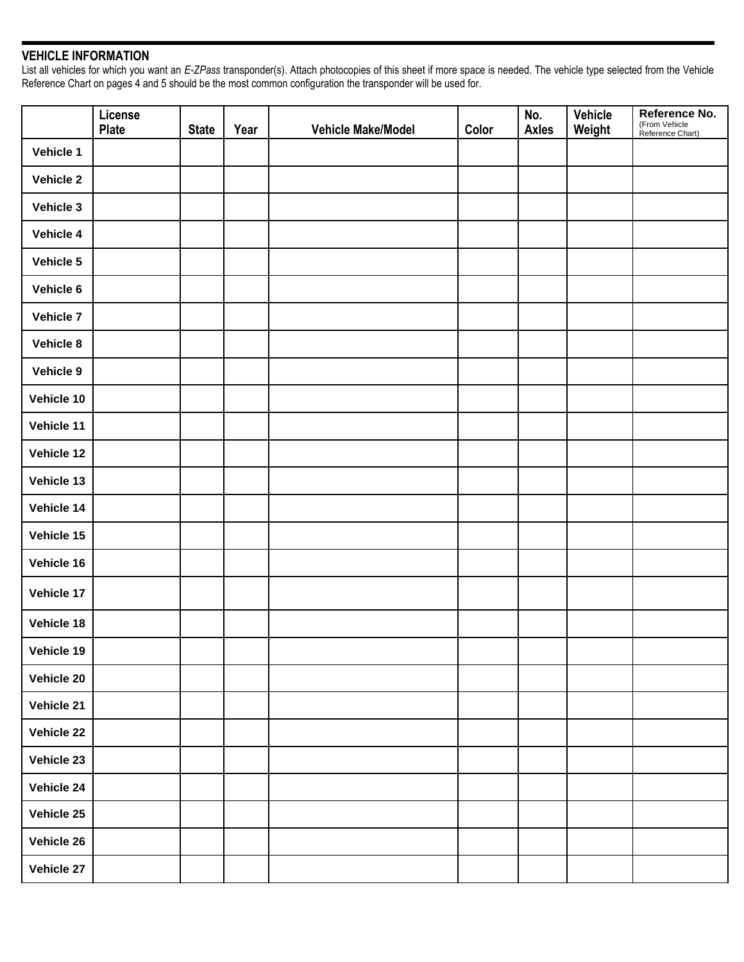# **VEHICLE INFORMATION**

List all vehicles for which you want an *E-ZPass* transponder(s). Attach photocopies of this sheet if more space is needed. The vehicle type selected from the Vehicle Reference Chart on pages 4 and 5 should be the most common configuration the transponder will be used for.

|                  | License<br><b>Plate</b> | <b>State</b> | Year | Vehicle Make/Model | Color | No.<br><b>Axles</b> | <b>Vehicle</b><br>Weight | Reference No.<br>(From Vehicle<br>Reference Chart) |
|------------------|-------------------------|--------------|------|--------------------|-------|---------------------|--------------------------|----------------------------------------------------|
| Vehicle 1        |                         |              |      |                    |       |                     |                          |                                                    |
| <b>Vehicle 2</b> |                         |              |      |                    |       |                     |                          |                                                    |
| Vehicle 3        |                         |              |      |                    |       |                     |                          |                                                    |
| Vehicle 4        |                         |              |      |                    |       |                     |                          |                                                    |
| Vehicle 5        |                         |              |      |                    |       |                     |                          |                                                    |
| Vehicle 6        |                         |              |      |                    |       |                     |                          |                                                    |
| <b>Vehicle 7</b> |                         |              |      |                    |       |                     |                          |                                                    |
| Vehicle 8        |                         |              |      |                    |       |                     |                          |                                                    |
| Vehicle 9        |                         |              |      |                    |       |                     |                          |                                                    |
| Vehicle 10       |                         |              |      |                    |       |                     |                          |                                                    |
| Vehicle 11       |                         |              |      |                    |       |                     |                          |                                                    |
| Vehicle 12       |                         |              |      |                    |       |                     |                          |                                                    |
| Vehicle 13       |                         |              |      |                    |       |                     |                          |                                                    |
| Vehicle 14       |                         |              |      |                    |       |                     |                          |                                                    |
| Vehicle 15       |                         |              |      |                    |       |                     |                          |                                                    |
| Vehicle 16       |                         |              |      |                    |       |                     |                          |                                                    |
| Vehicle 17       |                         |              |      |                    |       |                     |                          |                                                    |
| Vehicle 18       |                         |              |      |                    |       |                     |                          |                                                    |
| Vehicle 19       |                         |              |      |                    |       |                     |                          |                                                    |
| Vehicle 20       |                         |              |      |                    |       |                     |                          |                                                    |
| Vehicle 21       |                         |              |      |                    |       |                     |                          |                                                    |
| Vehicle 22       |                         |              |      |                    |       |                     |                          |                                                    |
| Vehicle 23       |                         |              |      |                    |       |                     |                          |                                                    |
| Vehicle 24       |                         |              |      |                    |       |                     |                          |                                                    |
| Vehicle 25       |                         |              |      |                    |       |                     |                          |                                                    |
| Vehicle 26       |                         |              |      |                    |       |                     |                          |                                                    |
| Vehicle 27       |                         |              |      |                    |       |                     |                          |                                                    |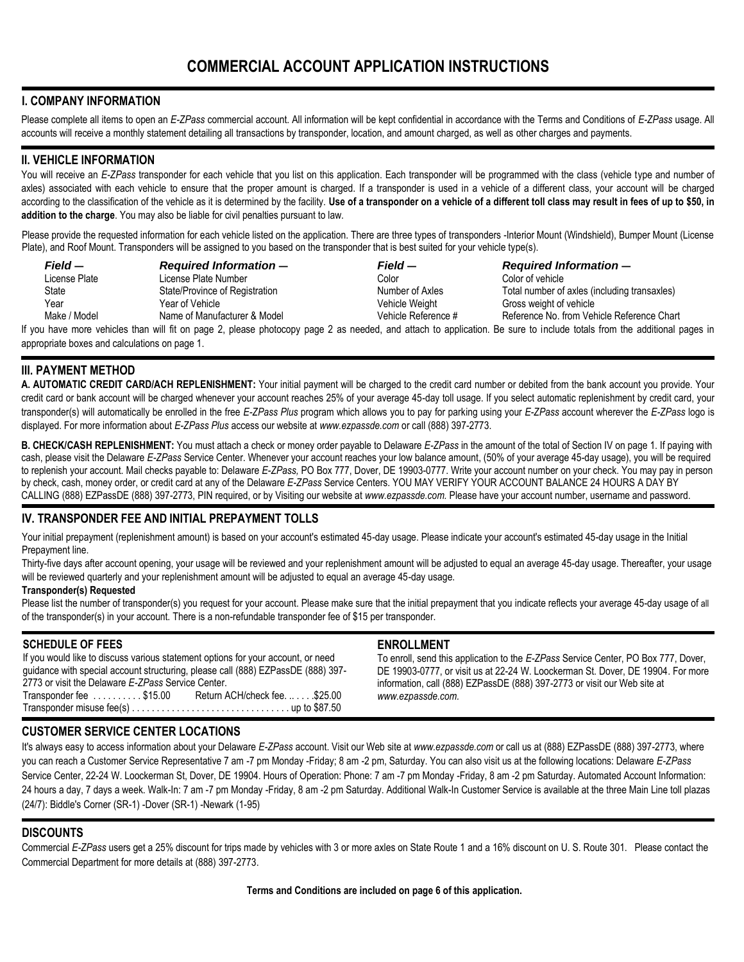## **I. COMPANY INFORMATION**

Please complete all items to open an *E-ZPass* commercial account. All information will be kept confidential in accordance with the Terms and Conditions of *E-ZPass* usage. All accounts will receive a monthly statement detailing all transactions by transponder, location, and amount charged, as well as other charges and payments.

### **II. VEHICLE INFORMATION**

You will receive an *E-ZPass* transponder for each vehicle that you list on this application. Each transponder will be programmed with the class (vehicle type and number of axles) associated with each vehicle to ensure that the proper amount is charged. If a transponder is used in a vehicle of a different class, your account will be charged according to the classification of the vehicle as it is determined by the facility. **Use of a transponder on a vehicle of a different toll class may result in fees of up to \$50, in addition to the charge**. You may also be liable for civil penalties pursuant to law.

Please provide the requested information for each vehicle listed on the application. There are three types of transponders -Interior Mount (Windshield), Bumper Mount (License Plate), and Roof Mount. Transponders will be assigned to you based on the transponder that is best suited for your vehicle type(s).

| Field —       | <b>Required Information –</b>  | Field —             | <b>Required Information –</b>                |
|---------------|--------------------------------|---------------------|----------------------------------------------|
| License Plate | License Plate Number           | Color               | Color of vehicle                             |
| State         | State/Province of Registration | Number of Axles     | Total number of axles (including transaxles) |
| Year          | Year of Vehicle                | Vehicle Weight      | Gross weight of vehicle                      |
| Make / Model  | Name of Manufacturer & Model   | Vehicle Reference # | Reference No. from Vehicle Reference Chart   |
|               |                                |                     |                                              |

If you have more vehicles than will fit on page 2, please photocopy page 2 as needed, and attach to application. Be sure to include totals from the additional pages in appropriate boxes and calculations on page 1.

# **III. PAYMENT METHOD**

**A. AUTOMATIC CREDIT CARD/ACH REPLENISHMENT:** Your initial payment will be charged to the credit card number or debited from the bank account you provide. Your credit card or bank account will be charged whenever your account reaches 25% of your average 45-day toll usage. If you select automatic replenishment by credit card, your transponder(s) will automatically be enrolled in the free *E-ZPass Plus* program which allows you to pay for parking using your *E-ZPass* account wherever the *E-ZPass* logo is displayed. For more information about *E-ZPass Plus* access our website at *www.ezpassde.com* or call (888) 397-2773.

**B. CHECK/CASH REPLENISHMENT:** You must attach a check or money order payable to Delaware *E-ZPass* in the amount of the total of Section IV on page 1. If paying with cash, please visit the Delaware *E-ZPass* Service Center. Whenever your account reaches your low balance amount, (50% of your average 45-day usage), you will be required to replenish your account. Mail checks payable to: Delaware *E-ZPass,* PO Box 777, Dover, DE 19903-0777. Write your account number on your check. You may pay in person by check, cash, money order, or credit card at any of the Delaware *E-ZPass* Service Centers. YOU MAY VERIFY YOUR ACCOUNT BALANCE 24 HOURS A DAY BY CALLING (888) EZPassDE (888) 397-2773, PIN required, or by Visiting our website at *www.ezpassde.com.* Please have your account number, username and password.

### **IV. TRANSPONDER FEE AND INITIAL PREPAYMENT TOLLS**

Your initial prepayment (replenishment amount) is based on your account's estimated 45-day usage. Please indicate your account's estimated 45-day usage in the Initial Prepayment line.

Thirty-five days after account opening, your usage will be reviewed and your replenishment amount will be adjusted to equal an average 45-day usage. Thereafter, your usage will be reviewed quarterly and your replenishment amount will be adjusted to equal an average 45-day usage.

#### **Transponder(s) Requested**

Please list the number of transponder(s) you request for your account. Please make sure that the initial prepayment that you indicate reflects your average 45-day usage of all of the transponder(s) in your account. There is a non-refundable transponder fee of \$15 per transponder.

#### **SCHEDULE OF FEES**

If you would like to discuss various statement options for your account, or need guidance with special account structuring, please call (888) EZPassDE (888) 397- 2773 or visit the Delaware *E-ZPass* Service Center.  $Transporter fee \ldots \ldots \ldots$ \$15.00

Transponder misuse fee(s) . . . . . . . . . . . . . . . . . . . . . . . . . . . . . . . . up to \$87.50

#### **ENROLLMENT**

To enroll, send this application to the *E-ZPass* Service Center, PO Box 777, Dover, DE 19903-0777, or visit us at 22-24 W. Loockerman St. Dover, DE 19904. For more information, call (888) EZPassDE (888) 397-2773 or visit our Web site at *www.ezpassde.com.*

### **CUSTOMER SERVICE CENTER LOCATIONS**

It's always easy to access information about your Delaware *E-ZPass* account. Visit our Web site at *www.ezpassde.com* or call us at (888) EZPassDE (888) 397-2773, where you can reach a Customer Service Representative 7 am -7 pm Monday -Friday; 8 am -2 pm, Saturday. You can also visit us at the following locations: Delaware *E-ZPass*  Service Center, 22-24 W. Loockerman St, Dover, DE 19904. Hours of Operation: Phone: 7 am -7 pm Monday -Friday, 8 am -2 pm Saturday. Automated Account Information: 24 hours a day, 7 days a week. Walk-In: 7 am -7 pm Monday -Friday, 8 am -2 pm Saturday. Additional Walk-In Customer Service is available at the three Main Line toll plazas (24/7): Biddle's Corner (SR-1) -Dover (SR-1) -Newark (1-95)

### **DISCOUNTS**

Commercial *E-ZPass* users get a 25% discount for trips made by vehicles with 3 or more axles on State Route 1 and a 16% discount on U. S. Route 301. Please contact the Commercial Department for more details at (888) 397-2773.

**Terms and Conditions are included on page 6 of this application.**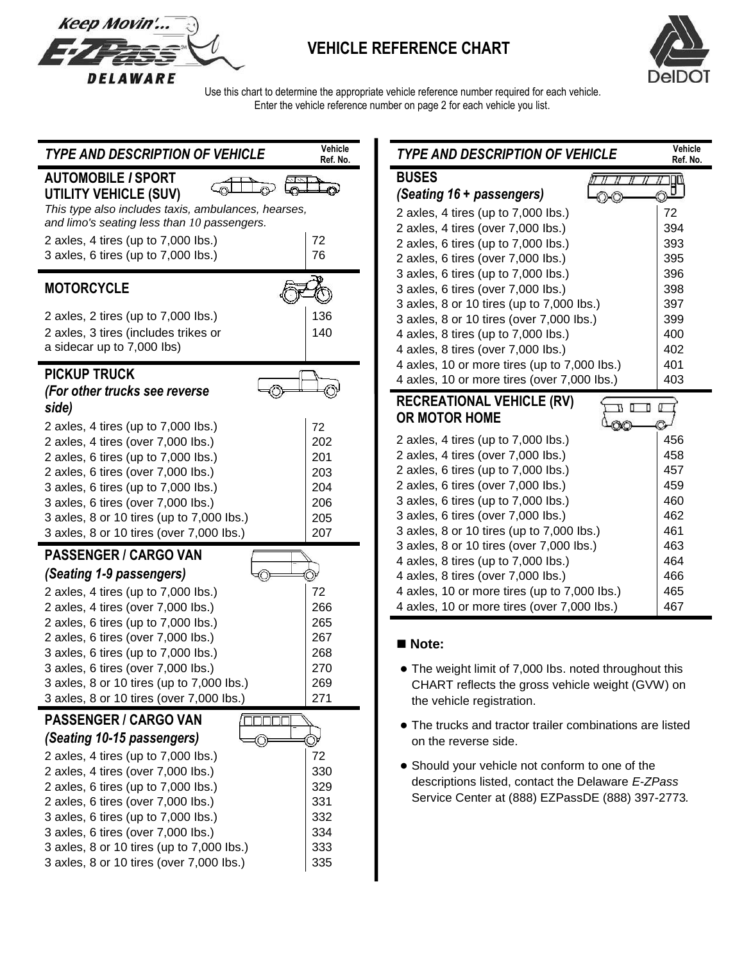

# **VEHICLE REFERENCE CHART**



 Use this chart to determine the appropriate vehicle reference number required for each vehicle. Enter the vehicle reference number on page 2 for each vehicle you list.

| <b>TYPE AND DESCRIPTION OF VEHICLE</b>              | Vehicle<br>Ref. No. | <b>TYPE AND DESCRIPTION OF VEHICLE</b>                   | Vehicle<br>Ref. No. |
|-----------------------------------------------------|---------------------|----------------------------------------------------------|---------------------|
| <b>AUTOMOBILE / SPORT</b>                           |                     | <b>BUSES</b><br>- 11 -                                   |                     |
| <b>UTILITY VEHICLE (SUV)</b>                        |                     | (Seating 16 + passengers)                                | 門                   |
| This type also includes taxis, ambulances, hearses, |                     |                                                          |                     |
| and limo's seating less than 10 passengers.         |                     | 2 axles, 4 tires (up to 7,000 lbs.)                      | 72                  |
|                                                     |                     | 2 axles, 4 tires (over 7,000 lbs.)                       | 394                 |
| 2 axles, 4 tires (up to 7,000 lbs.)                 | 72                  | 2 axles, 6 tires (up to 7,000 lbs.)                      | 393                 |
| 3 axles, 6 tires (up to 7,000 lbs.)                 | 76                  | 2 axles, 6 tires (over 7,000 lbs.)                       | 395                 |
|                                                     |                     | 3 axles, 6 tires (up to 7,000 lbs.)                      | 396                 |
| <b>MOTORCYCLE</b>                                   |                     | 3 axles, 6 tires (over 7,000 lbs.)                       | 398                 |
|                                                     |                     | 3 axles, 8 or 10 tires (up to 7,000 lbs.)                | 397                 |
| 2 axles, 2 tires (up to 7,000 lbs.)                 | 136                 | 3 axles, 8 or 10 tires (over 7,000 lbs.)                 | 399                 |
| 2 axles, 3 tires (includes trikes or                | 140                 | 4 axles, 8 tires (up to 7,000 lbs.)                      | 400                 |
| a sidecar up to 7,000 lbs)                          |                     | 4 axles, 8 tires (over 7,000 lbs.)                       | 402                 |
|                                                     |                     | 4 axles, 10 or more tires (up to 7,000 lbs.)             | 401                 |
| <b>PICKUP TRUCK</b>                                 |                     | 4 axles, 10 or more tires (over 7,000 lbs.)              | 403                 |
| (For other trucks see reverse                       |                     |                                                          |                     |
| side)                                               |                     | <b>RECREATIONAL VEHICLE (RV)</b>                         |                     |
|                                                     |                     | <b>OR MOTOR HOME</b><br>ОC                               |                     |
| 2 axles, 4 tires (up to 7,000 lbs.)                 | 72                  | 2 axles, 4 tires (up to 7,000 lbs.)                      | 456                 |
| 2 axles, 4 tires (over 7,000 lbs.)                  | 202                 | 2 axles, 4 tires (over 7,000 lbs.)                       | 458                 |
| 2 axles, 6 tires (up to 7,000 lbs.)                 | 201                 |                                                          | 457                 |
| 2 axles, 6 tires (over 7,000 lbs.)                  | 203                 | 2 axles, 6 tires (up to 7,000 lbs.)                      |                     |
| 3 axles, 6 tires (up to 7,000 lbs.)                 | 204                 | 2 axles, 6 tires (over 7,000 lbs.)                       | 459                 |
| 3 axles, 6 tires (over 7,000 lbs.)                  | 206                 | 3 axles, 6 tires (up to 7,000 lbs.)                      | 460                 |
| 3 axles, 8 or 10 tires (up to 7,000 lbs.)           | 205                 | 3 axles, 6 tires (over 7,000 lbs.)                       | 462                 |
| 3 axles, 8 or 10 tires (over 7,000 lbs.)            | 207                 | 3 axles, 8 or 10 tires (up to 7,000 lbs.)                | 461                 |
| <b>PASSENGER / CARGO VAN</b>                        |                     | 3 axles, 8 or 10 tires (over 7,000 lbs.)                 | 463                 |
|                                                     |                     | 4 axles, 8 tires (up to 7,000 lbs.)                      | 464                 |
| (Seating 1-9 passengers)                            |                     | 4 axles, 8 tires (over 7,000 lbs.)                       | 466                 |
| 2 axles, 4 tires (up to 7,000 lbs.)                 | 72                  | 4 axles, 10 or more tires (up to 7,000 lbs.)             | 465                 |
| 2 axles, 4 tires (over 7,000 lbs.)                  | 266                 | 4 axles, 10 or more tires (over 7,000 lbs.)              | 467                 |
| 2 axles, 6 tires (up to 7,000 lbs.)                 | 265                 |                                                          |                     |
| 2 axles, 6 tires (over 7,000 lbs.)                  | 267                 | Note:                                                    |                     |
| 3 axles, 6 tires (up to 7,000 lbs.)                 | 268                 |                                                          |                     |
| 3 axles, 6 tires (over 7,000 lbs.)                  | 270                 | • The weight limit of 7,000 lbs. noted throughout this   |                     |
| 3 axles, 8 or 10 tires (up to 7,000 lbs.)           | 269                 | CHART reflects the gross vehicle weight (GVW) on         |                     |
| 3 axles, 8 or 10 tires (over 7,000 lbs.)            | 271                 | the vehicle registration.                                |                     |
| <b>PASSENGER / CARGO VAN</b><br>nnnn                |                     |                                                          |                     |
|                                                     |                     | • The trucks and tractor trailer combinations are listed |                     |
| (Seating 10-15 passengers)<br>⊙                     | O)                  | on the reverse side.                                     |                     |
| 2 axles, 4 tires (up to 7,000 lbs.)                 | 72                  | • Should your vehicle not conform to one of the          |                     |
| 2 axles, 4 tires (over 7,000 lbs.)                  | 330                 | descriptions listed, contact the Delaware E-ZPass        |                     |
| 2 axles, 6 tires (up to 7,000 lbs.)                 | 329                 |                                                          |                     |
| 2 axles, 6 tires (over 7,000 lbs.)                  | 331                 | Service Center at (888) EZPassDE (888) 397-2773.         |                     |
| 3 axles, 6 tires (up to 7,000 lbs.)                 | 332                 |                                                          |                     |
| 3 axles, 6 tires (over 7,000 lbs.)                  | 334                 |                                                          |                     |
| 3 axles, 8 or 10 tires (up to 7,000 lbs.)           | 333                 |                                                          |                     |
| 3 axles, 8 or 10 tires (over 7,000 lbs.)            | 335                 |                                                          |                     |
|                                                     |                     |                                                          |                     |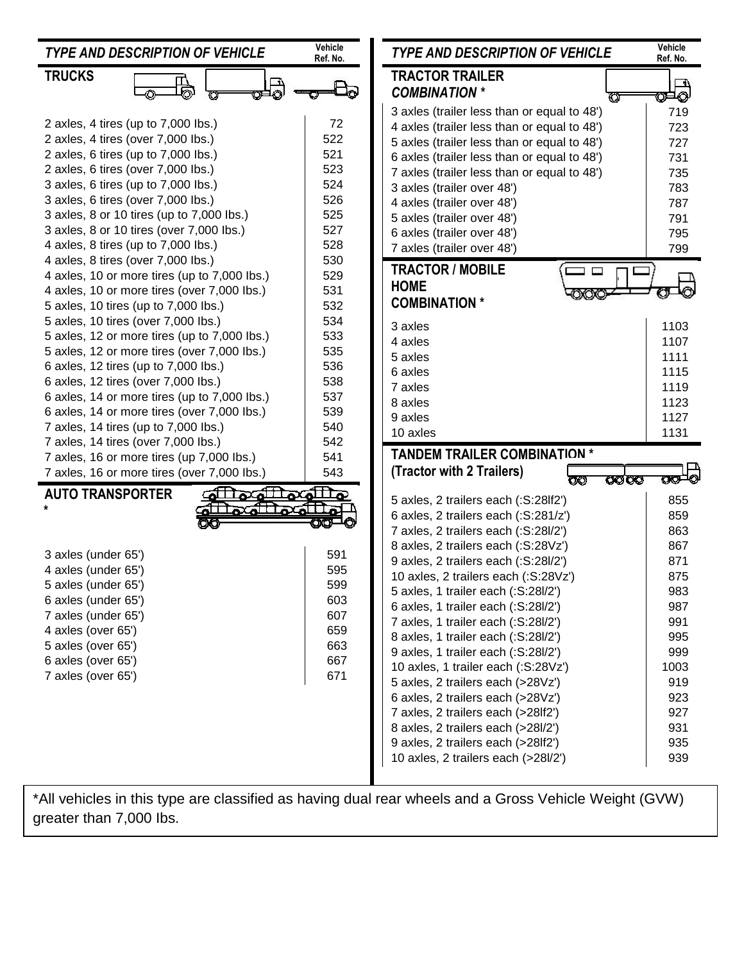| <b>TYPE AND DESCRIPTION OF VEHICLE</b>       | Vehicle<br>Ref. No. | <b>TYPE AND DESCRIPTION OF VEHICLE</b>      | Vehicle<br>Ref. No. |
|----------------------------------------------|---------------------|---------------------------------------------|---------------------|
| <b>TRUCKS</b>                                |                     | <b>TRACTOR TRAILER</b>                      | $\Box$              |
|                                              |                     | <b>COMBINATION *</b>                        | യ⊐⊙                 |
|                                              |                     | 3 axles (trailer less than or equal to 48') | 719                 |
| 2 axles, 4 tires (up to 7,000 lbs.)          | 72                  | 4 axles (trailer less than or equal to 48') | 723                 |
| 2 axles, 4 tires (over 7,000 lbs.)           | 522                 | 5 axles (trailer less than or equal to 48') | 727                 |
| 2 axles, 6 tires (up to 7,000 lbs.)          | 521                 | 6 axles (trailer less than or equal to 48') | 731                 |
| 2 axles, 6 tires (over 7,000 lbs.)           | 523                 | 7 axles (trailer less than or equal to 48') | 735                 |
| 3 axles, 6 tires (up to 7,000 lbs.)          | 524                 | 3 axles (trailer over 48')                  | 783                 |
| 3 axles, 6 tires (over 7,000 lbs.)           | 526                 | 4 axles (trailer over 48')                  | 787                 |
| 3 axles, 8 or 10 tires (up to 7,000 lbs.)    | 525                 | 5 axles (trailer over 48')                  | 791                 |
| 3 axles, 8 or 10 tires (over 7,000 lbs.)     | 527                 | 6 axles (trailer over 48')                  | 795                 |
| 4 axles, 8 tires (up to 7,000 lbs.)          | 528                 | 7 axles (trailer over 48')                  | 799                 |
| 4 axles, 8 tires (over 7,000 lbs.)           | 530                 | <b>TRACTOR / MOBILE</b>                     |                     |
| 4 axles, 10 or more tires (up to 7,000 lbs.) | 529                 |                                             |                     |
| 4 axles, 10 or more tires (over 7,000 lbs.)  | 531                 | <b>HOME</b>                                 |                     |
| 5 axles, 10 tires (up to 7,000 lbs.)         | 532                 | <b>COMBINATION *</b>                        |                     |
| 5 axles, 10 tires (over 7,000 lbs.)          | 534                 | 3 axles                                     | 1103                |
| 5 axles, 12 or more tires (up to 7,000 lbs.) | 533                 | 4 axles                                     | 1107                |
| 5 axles, 12 or more tires (over 7,000 lbs.)  | 535                 | 5 axles                                     | 1111                |
| 6 axles, 12 tires (up to 7,000 lbs.)         | 536                 | 6 axles                                     | 1115                |
| 6 axles, 12 tires (over 7,000 lbs.)          | 538                 | 7 axles                                     | 1119                |
| 6 axles, 14 or more tires (up to 7,000 lbs.) | 537                 | 8 axles                                     | 1123                |
| 6 axles, 14 or more tires (over 7,000 lbs.)  | 539                 | 9 axles                                     | 1127                |
|                                              |                     |                                             |                     |
| 7 axles, 14 tires (up to 7,000 lbs.)         | 540                 |                                             |                     |
| 7 axles, 14 tires (over 7,000 lbs.)          | 542                 | 10 axles                                    | 1131                |
| 7 axles, 16 or more tires (up 7,000 lbs.)    | 541                 | <b>TANDEM TRAILER COMBINATION *</b>         |                     |
| 7 axles, 16 or more tires (over 7,000 lbs.)  | 543                 | (Tractor with 2 Trailers)<br>অঅ<br>œ        | $\infty$ -o         |
| ملله ملله متللق<br><b>AUTO TRANSPORTER</b>   |                     |                                             |                     |
|                                              |                     | 5 axles, 2 trailers each (:S:28lf2')        | 855                 |
|                                              |                     | 6 axles, 2 trailers each (:S:281/z')        | 859                 |
|                                              |                     | 7 axles, 2 trailers each (:S:28l/2')        | 863                 |
| 3 axles (under 65')                          | 591                 | 8 axles, 2 trailers each (:S:28Vz')         | 867                 |
| 4 axles (under 65')                          | 595                 | 9 axles, 2 trailers each (:S:28l/2')        | 871                 |
| 5 axles (under 65')                          | 599                 | 10 axles, 2 trailers each (:S:28Vz')        | 875                 |
| 6 axles (under 65')                          | 603                 | 5 axles, 1 trailer each (:S:28/2')          | 983                 |
| 7 axles (under 65')                          | 607                 | 6 axles, 1 trailer each (:S:28l/2')         | 987                 |
| 4 axles (over 65')                           | 659                 | 7 axles, 1 trailer each (:S:28l/2')         | 991                 |
| 5 axles (over 65')                           | 663                 | 8 axles, 1 trailer each (:S:28l/2')         | 995                 |
| 6 axles (over 65')                           | 667                 | 9 axles, 1 trailer each (:S:28l/2')         | 999                 |
| 7 axles (over 65')                           | 671                 | 10 axles, 1 trailer each (:S:28Vz')         | 1003                |
|                                              |                     | 5 axles, 2 trailers each (>28Vz')           | 919                 |
|                                              |                     | 6 axles, 2 trailers each (>28Vz')           | 923                 |
|                                              |                     | 7 axles, 2 trailers each (>28lf2')          | 927                 |
|                                              |                     | 8 axles, 2 trailers each (>28l/2')          | 931                 |
|                                              |                     | 9 axles, 2 trailers each (>28lf2')          | 935                 |
|                                              |                     | 10 axles, 2 trailers each (>28l/2')         | 939                 |

\*All vehicles in this type are classified as having dual rear wheels and a Gross Vehicle Weight (GVW) greater than 7,000 lbs.